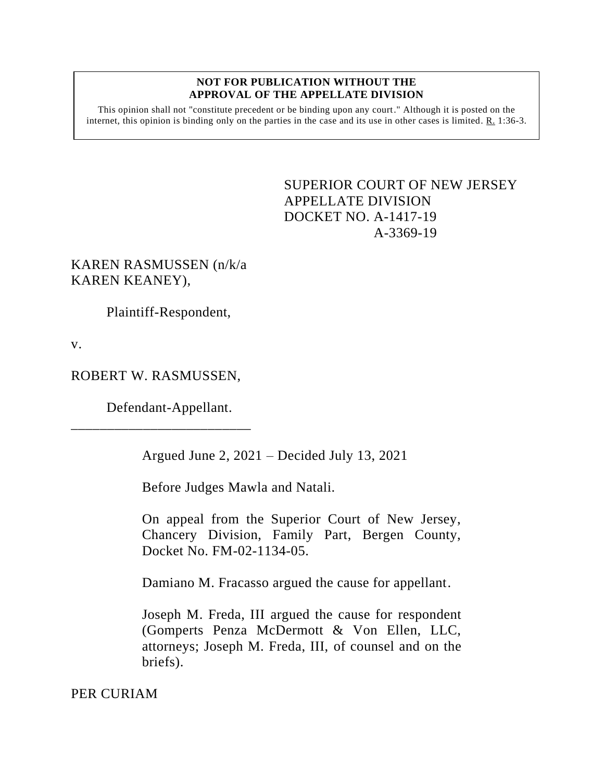#### **NOT FOR PUBLICATION WITHOUT THE APPROVAL OF THE APPELLATE DIVISION**

This opinion shall not "constitute precedent or be binding upon any court." Although it is posted on the internet, this opinion is binding only on the parties in the case and its use in other cases is limited.  $R_1$  1:36-3.

> <span id="page-0-0"></span>SUPERIOR COURT OF NEW JERSEY APPELLATE DIVISION DOCKET NO. A-1417-19 A-3369-19

KAREN RASMUSSEN (n/k/a KAREN KEANEY),

Plaintiff-Respondent,

v.

ROBERT W. RASMUSSEN,

Defendant-Appellant.

\_\_\_\_\_\_\_\_\_\_\_\_\_\_\_\_\_\_\_\_\_\_\_\_\_

Argued June 2, 2021 – Decided July 13, 2021

Before Judges Mawla and Natali.

On appeal from the Superior Court of New Jersey, Chancery Division, Family Part, Bergen County, Docket No. FM-02-1134-05.

Damiano M. Fracasso argued the cause for appellant.

Joseph M. Freda, III argued the cause for respondent (Gomperts Penza McDermott & Von Ellen, LLC, attorneys; Joseph M. Freda, III, of counsel and on the briefs).

PER CURIAM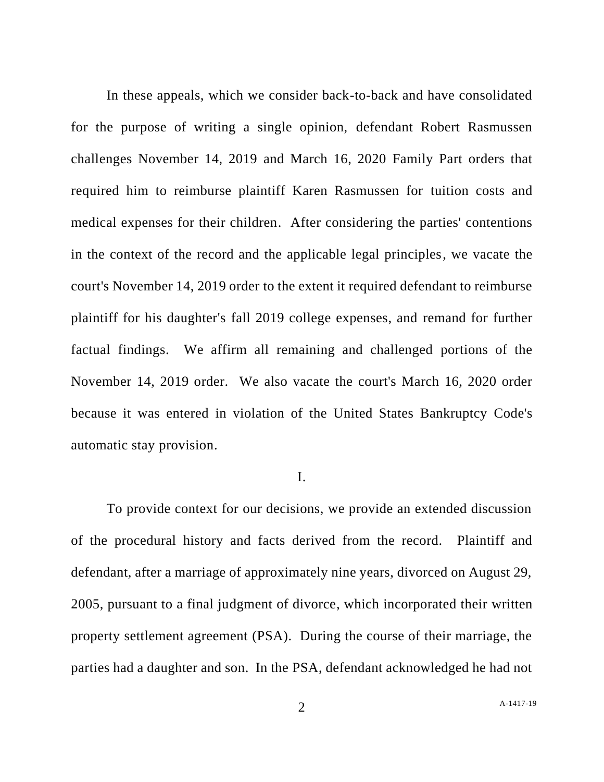In these appeals, which we consider back-to-back and have consolidated for the purpose of writing a single opinion, defendant Robert Rasmussen challenges November 14, 2019 and March 16, 2020 Family Part orders that required him to reimburse plaintiff Karen Rasmussen for tuition costs and medical expenses for their children. After considering the parties' contentions in the context of the record and the applicable legal principles, we vacate the court's November 14, 2019 order to the extent it required defendant to reimburse plaintiff for his daughter's fall 2019 college expenses, and remand for further factual findings. We affirm all remaining and challenged portions of the November 14, 2019 order. We also vacate the court's March 16, 2020 order because it was entered in violation of the United States Bankruptcy Code's automatic stay provision.

### I.

To provide context for our decisions, we provide an extended discussion of the procedural history and facts derived from the record. Plaintiff and defendant, after a marriage of approximately nine years, divorced on August 29, 2005, pursuant to a final judgment of divorce, which incorporated their written property settlement agreement (PSA). During the course of their marriage, the parties had a daughter and son. In the PSA, defendant acknowledged he had not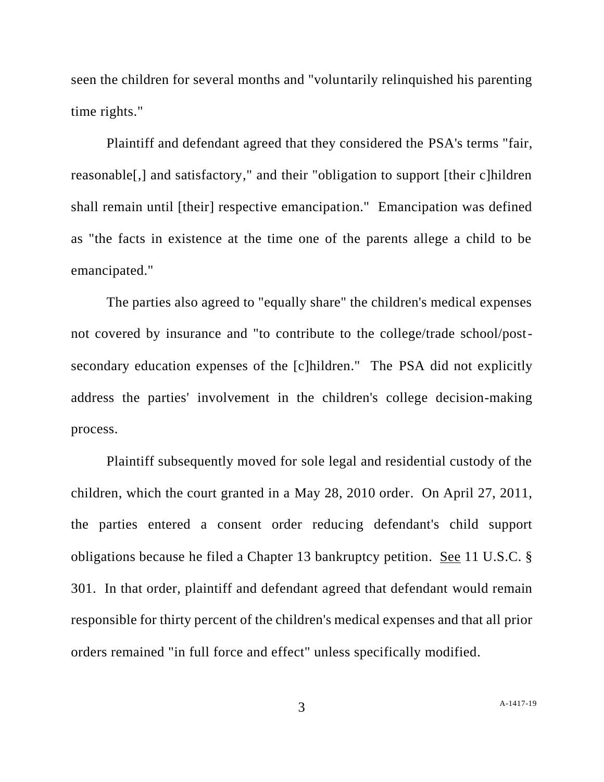seen the children for several months and "voluntarily relinquished his parenting time rights."

Plaintiff and defendant agreed that they considered the PSA's terms "fair, reasonable[,] and satisfactory," and their "obligation to support [their c]hildren shall remain until [their] respective emancipation." Emancipation was defined as "the facts in existence at the time one of the parents allege a child to be emancipated."

The parties also agreed to "equally share" the children's medical expenses not covered by insurance and "to contribute to the college/trade school/postsecondary education expenses of the [c]hildren." The PSA did not explicitly address the parties' involvement in the children's college decision-making process.

Plaintiff subsequently moved for sole legal and residential custody of the children, which the court granted in a May 28, 2010 order. On April 27, 2011, the parties entered a consent order reducing defendant's child support obligations because he filed a Chapter 13 bankruptcy petition. See 11 U.S.C. § 301. In that order, plaintiff and defendant agreed that defendant would remain responsible for thirty percent of the children's medical expenses and that all prior orders remained "in full force and effect" unless specifically modified.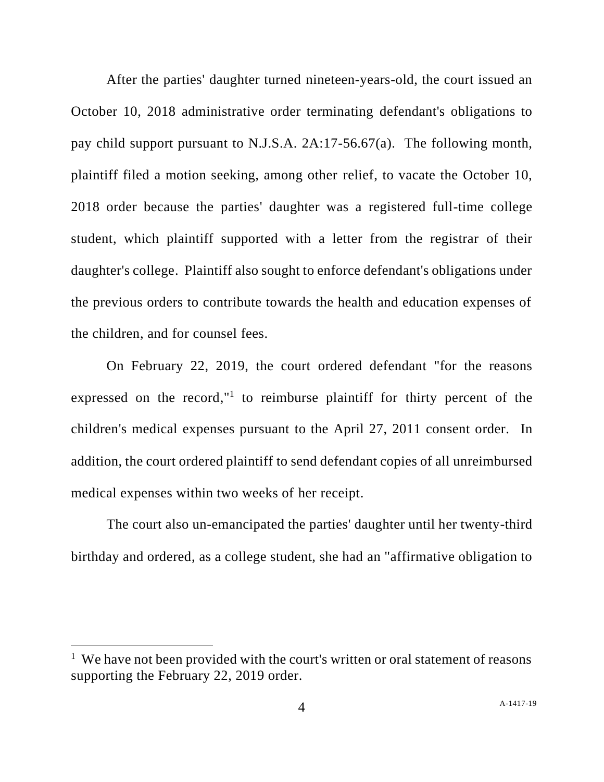After the parties' daughter turned nineteen-years-old, the court issued an October 10, 2018 administrative order terminating defendant's obligations to pay child support pursuant to N.J.S.A. 2A:17-56.67(a). The following month, plaintiff filed a motion seeking, among other relief, to vacate the October 10, 2018 order because the parties' daughter was a registered full-time college student, which plaintiff supported with a letter from the registrar of their daughter's college. Plaintiff also sought to enforce defendant's obligations under the previous orders to contribute towards the health and education expenses of the children, and for counsel fees.

On February 22, 2019, the court ordered defendant "for the reasons expressed on the record,"<sup>1</sup> to reimburse plaintiff for thirty percent of the children's medical expenses pursuant to the April 27, 2011 consent order. In addition, the court ordered plaintiff to send defendant copies of all unreimbursed medical expenses within two weeks of her receipt.

The court also un-emancipated the parties' daughter until her twenty-third birthday and ordered, as a college student, she had an "affirmative obligation to

<sup>&</sup>lt;sup>1</sup> We have not been provided with the court's written or oral statement of reasons supporting the February 22, 2019 order.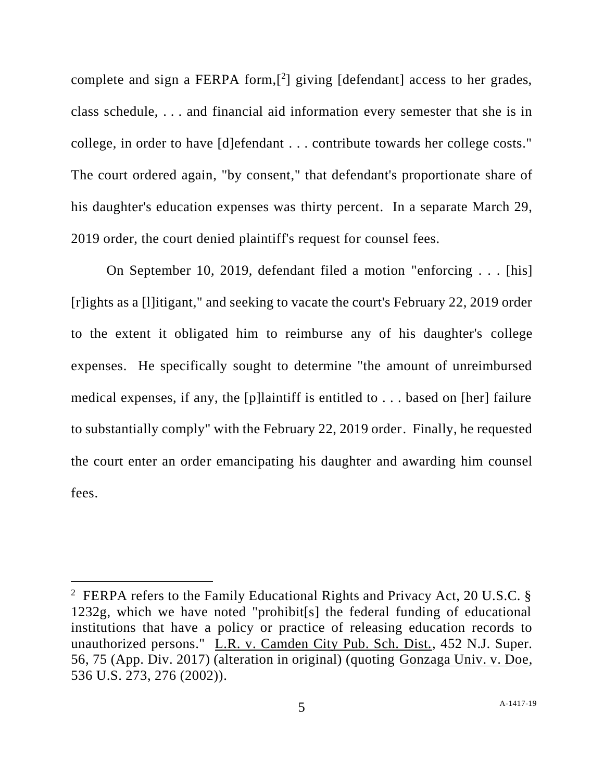complete and sign a FERPA form, $[2]$  giving [defendant] access to her grades, class schedule, . . . and financial aid information every semester that she is in college, in order to have [d]efendant . . . contribute towards her college costs." The court ordered again, "by consent," that defendant's proportionate share of his daughter's education expenses was thirty percent. In a separate March 29, 2019 order, the court denied plaintiff's request for counsel fees.

On September 10, 2019, defendant filed a motion "enforcing . . . [his] [r]ights as a [l]itigant," and seeking to vacate the court's February 22, 2019 order to the extent it obligated him to reimburse any of his daughter's college expenses. He specifically sought to determine "the amount of unreimbursed medical expenses, if any, the [p]laintiff is entitled to . . . based on [her] failure to substantially comply" with the February 22, 2019 order. Finally, he requested the court enter an order emancipating his daughter and awarding him counsel fees.

<sup>&</sup>lt;sup>2</sup> FERPA refers to the Family Educational Rights and Privacy Act, 20 U.S.C. § 1232g, which we have noted "prohibit[s] the federal funding of educational institutions that have a policy or practice of releasing education records to unauthorized persons." L.R. v. Camden City Pub. Sch. Dist., 452 N.J. Super. 56, 75 (App. Div. 2017) (alteration in original) (quoting Gonzaga Univ. v. Doe, 536 U.S. 273, 276 (2002)).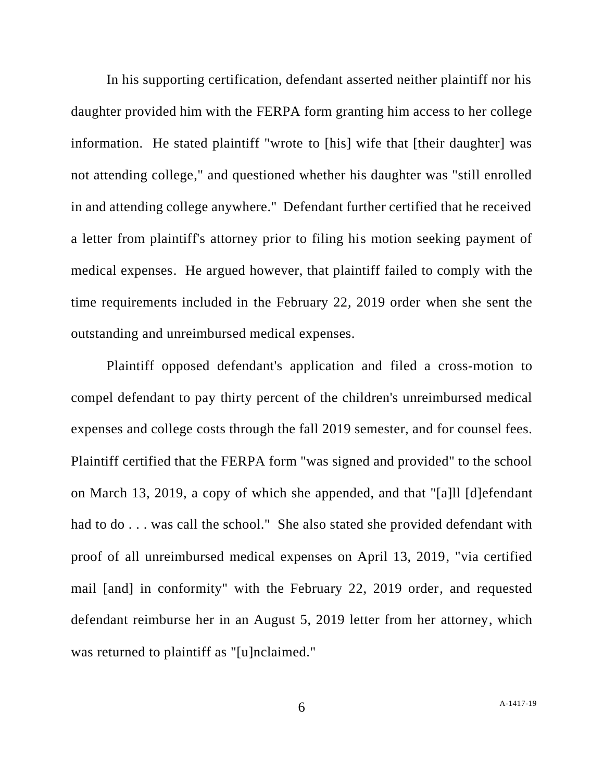In his supporting certification, defendant asserted neither plaintiff nor his daughter provided him with the FERPA form granting him access to her college information. He stated plaintiff "wrote to [his] wife that [their daughter] was not attending college," and questioned whether his daughter was "still enrolled in and attending college anywhere." Defendant further certified that he received a letter from plaintiff's attorney prior to filing his motion seeking payment of medical expenses. He argued however, that plaintiff failed to comply with the time requirements included in the February 22, 2019 order when she sent the outstanding and unreimbursed medical expenses.

Plaintiff opposed defendant's application and filed a cross-motion to compel defendant to pay thirty percent of the children's unreimbursed medical expenses and college costs through the fall 2019 semester, and for counsel fees. Plaintiff certified that the FERPA form "was signed and provided" to the school on March 13, 2019, a copy of which she appended, and that "[a]ll [d]efendant had to do . . . was call the school." She also stated she provided defendant with proof of all unreimbursed medical expenses on April 13, 2019, "via certified mail [and] in conformity" with the February 22, 2019 order, and requested defendant reimburse her in an August 5, 2019 letter from her attorney, which was returned to plaintiff as "[u]nclaimed."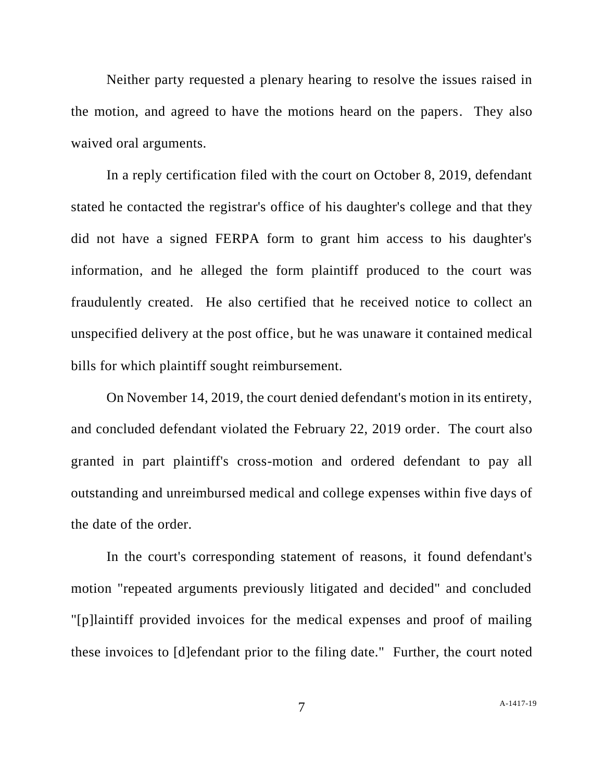Neither party requested a plenary hearing to resolve the issues raised in the motion, and agreed to have the motions heard on the papers. They also waived oral arguments.

In a reply certification filed with the court on October 8, 2019, defendant stated he contacted the registrar's office of his daughter's college and that they did not have a signed FERPA form to grant him access to his daughter's information, and he alleged the form plaintiff produced to the court was fraudulently created. He also certified that he received notice to collect an unspecified delivery at the post office, but he was unaware it contained medical bills for which plaintiff sought reimbursement.

On November 14, 2019, the court denied defendant's motion in its entirety, and concluded defendant violated the February 22, 2019 order. The court also granted in part plaintiff's cross-motion and ordered defendant to pay all outstanding and unreimbursed medical and college expenses within five days of the date of the order.

In the court's corresponding statement of reasons, it found defendant's motion "repeated arguments previously litigated and decided" and concluded "[p]laintiff provided invoices for the medical expenses and proof of mailing these invoices to [d]efendant prior to the filing date." Further, the court noted

7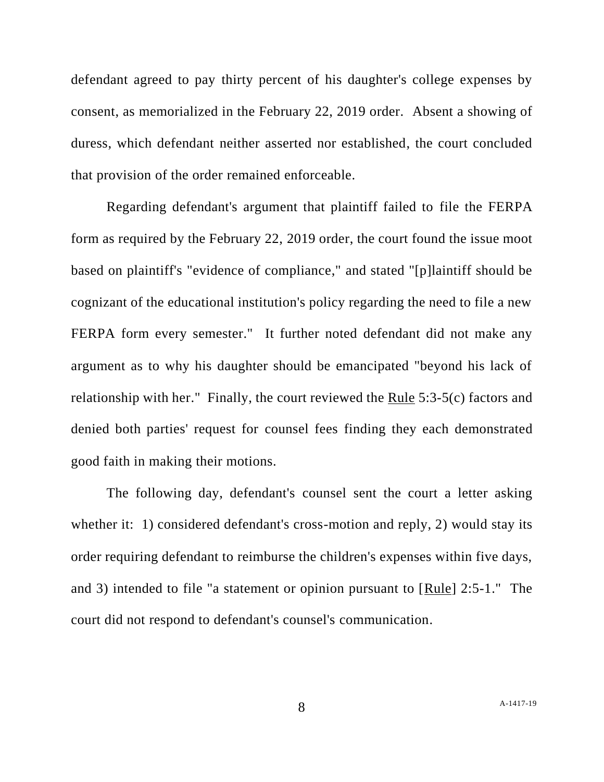defendant agreed to pay thirty percent of his daughter's college expenses by consent, as memorialized in the February 22, 2019 order. Absent a showing of duress, which defendant neither asserted nor established, the court concluded that provision of the order remained enforceable.

Regarding defendant's argument that plaintiff failed to file the FERPA form as required by the February 22, 2019 order, the court found the issue moot based on plaintiff's "evidence of compliance," and stated "[p]laintiff should be cognizant of the educational institution's policy regarding the need to file a new FERPA form every semester." It further noted defendant did not make any argument as to why his daughter should be emancipated "beyond his lack of relationship with her." Finally, the court reviewed the Rule 5:3-5(c) factors and denied both parties' request for counsel fees finding they each demonstrated good faith in making their motions.

The following day, defendant's counsel sent the court a letter asking whether it: 1) considered defendant's cross-motion and reply, 2) would stay its order requiring defendant to reimburse the children's expenses within five days, and 3) intended to file "a statement or opinion pursuant to [Rule] 2:5-1." The court did not respond to defendant's counsel's communication.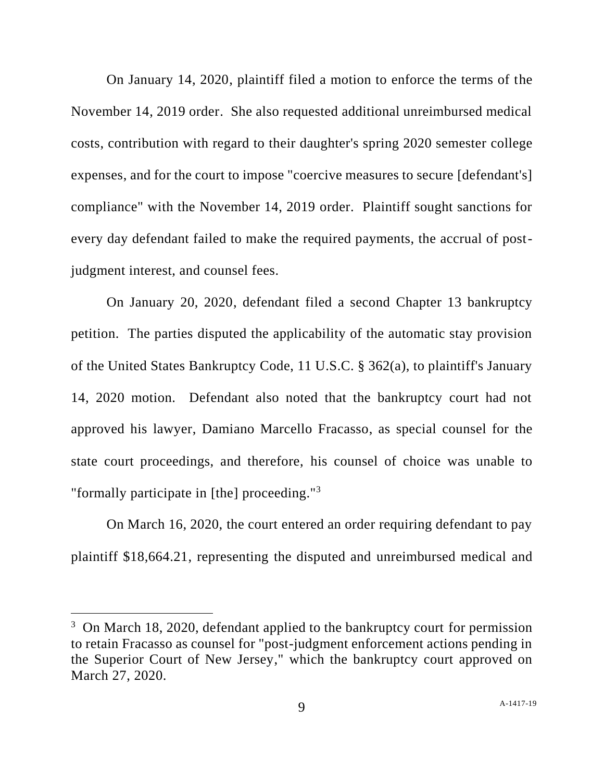On January 14, 2020, plaintiff filed a motion to enforce the terms of the November 14, 2019 order. She also requested additional unreimbursed medical costs, contribution with regard to their daughter's spring 2020 semester college expenses, and for the court to impose "coercive measures to secure [defendant's] compliance" with the November 14, 2019 order. Plaintiff sought sanctions for every day defendant failed to make the required payments, the accrual of postjudgment interest, and counsel fees.

On January 20, 2020, defendant filed a second Chapter 13 bankruptcy petition. The parties disputed the applicability of the automatic stay provision of the United States Bankruptcy Code, 11 U.S.C. § 362(a), to plaintiff's January 14, 2020 motion. Defendant also noted that the bankruptcy court had not approved his lawyer, Damiano Marcello Fracasso, as special counsel for the state court proceedings, and therefore, his counsel of choice was unable to "formally participate in [the] proceeding."<sup>3</sup>

On March 16, 2020, the court entered an order requiring defendant to pay plaintiff \$18,664.21, representing the disputed and unreimbursed medical and

<sup>&</sup>lt;sup>3</sup> On March 18, 2020, defendant applied to the bankruptcy court for permission to retain Fracasso as counsel for "post-judgment enforcement actions pending in the Superior Court of New Jersey," which the bankruptcy court approved on March 27, 2020.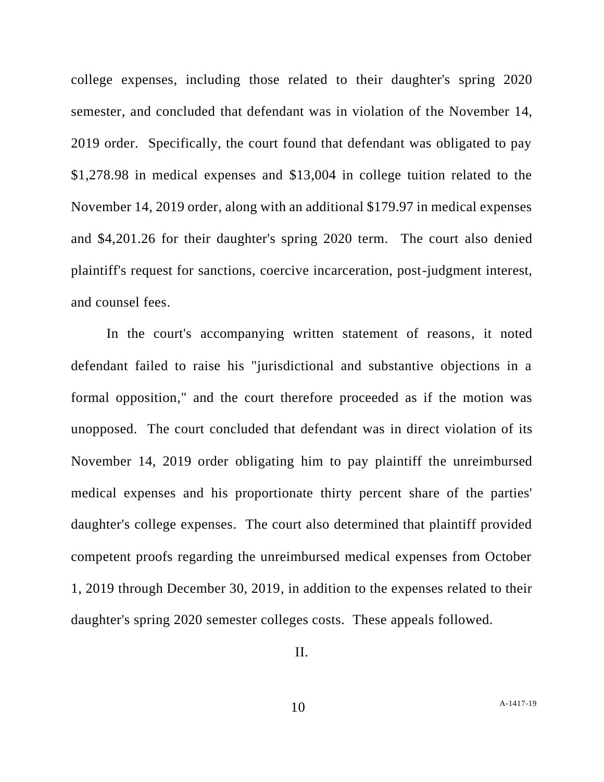college expenses, including those related to their daughter's spring 2020 semester, and concluded that defendant was in violation of the November 14, 2019 order. Specifically, the court found that defendant was obligated to pay \$1,278.98 in medical expenses and \$13,004 in college tuition related to the November 14, 2019 order, along with an additional \$179.97 in medical expenses and \$4,201.26 for their daughter's spring 2020 term. The court also denied plaintiff's request for sanctions, coercive incarceration, post-judgment interest, and counsel fees.

In the court's accompanying written statement of reasons, it noted defendant failed to raise his "jurisdictional and substantive objections in a formal opposition," and the court therefore proceeded as if the motion was unopposed. The court concluded that defendant was in direct violation of its November 14, 2019 order obligating him to pay plaintiff the unreimbursed medical expenses and his proportionate thirty percent share of the parties' daughter's college expenses. The court also determined that plaintiff provided competent proofs regarding the unreimbursed medical expenses from October 1, 2019 through December 30, 2019, in addition to the expenses related to their daughter's spring 2020 semester colleges costs. These appeals followed.

II.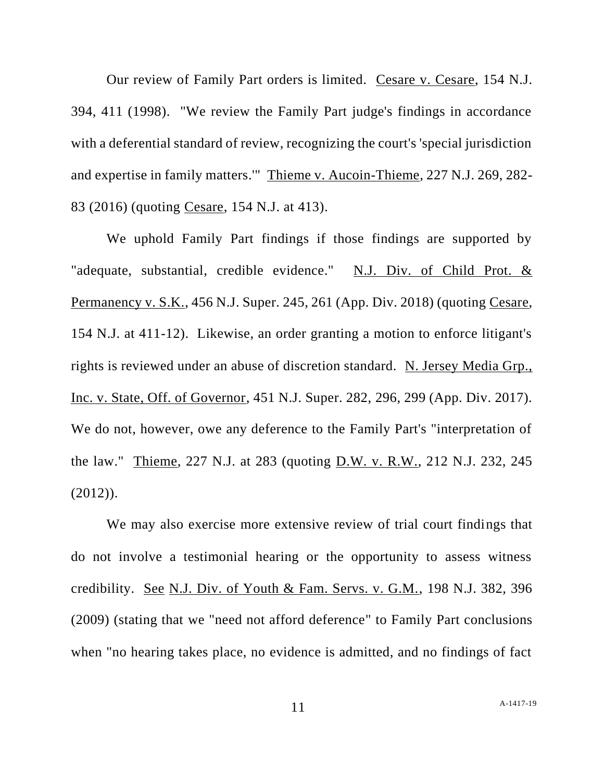Our review of Family Part orders is limited. Cesare v. Cesare, 154 N.J. 394, 411 (1998). "We review the Family Part judge's findings in accordance with a deferential standard of review, recognizing the court's 'special jurisdiction and expertise in family matters.'" Thieme v. Aucoin-Thieme, 227 N.J. 269, 282- 83 (2016) (quoting Cesare, 154 N.J. at 413).

We uphold Family Part findings if those findings are supported by "adequate, substantial, credible evidence." N.J. Div. of Child Prot. & Permanency v. S.K., 456 N.J. Super. 245, 261 (App. Div. 2018) (quoting Cesare, 154 N.J. at 411-12). Likewise, an order granting a motion to enforce litigant's rights is reviewed under an abuse of discretion standard. N. Jersey Media Grp., Inc. v. State, Off. of Governor, 451 N.J. Super. 282, 296, 299 (App. Div. 2017). We do not, however, owe any deference to the Family Part's "interpretation of the law." Thieme, 227 N.J. at 283 (quoting D.W. v. R.W., 212 N.J. 232, 245  $(2012)$ ).

We may also exercise more extensive review of trial court findings that do not involve a testimonial hearing or the opportunity to assess witness credibility. See N.J. Div. of Youth & Fam. Servs. v. G.M., 198 N.J. 382, 396 (2009) (stating that we "need not afford deference" to Family Part conclusions when "no hearing takes place, no evidence is admitted, and no findings of fact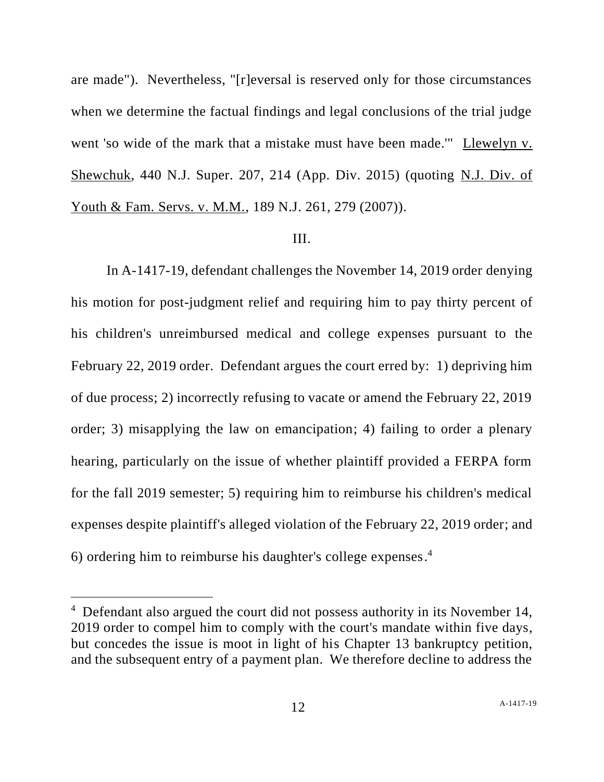are made"). Nevertheless, "[r]eversal is reserved only for those circumstances when we determine the factual findings and legal conclusions of the trial judge went 'so wide of the mark that a mistake must have been made.'" Llewelyn v. Shewchuk, 440 N.J. Super. 207, 214 (App. Div. 2015) (quoting N.J. Div. of Youth & Fam. Servs. v. M.M., 189 N.J. 261, 279 (2007)).

#### III.

In A-1417-19, defendant challenges the November 14, 2019 order denying his motion for post-judgment relief and requiring him to pay thirty percent of his children's unreimbursed medical and college expenses pursuant to the February 22, 2019 order. Defendant argues the court erred by: 1) depriving him of due process; 2) incorrectly refusing to vacate or amend the February 22, 2019 order; 3) misapplying the law on emancipation; 4) failing to order a plenary hearing, particularly on the issue of whether plaintiff provided a FERPA form for the fall 2019 semester; 5) requiring him to reimburse his children's medical expenses despite plaintiff's alleged violation of the February 22, 2019 order; and 6) ordering him to reimburse his daughter's college expenses. 4

<sup>&</sup>lt;sup>4</sup> Defendant also argued the court did not possess authority in its November 14, 2019 order to compel him to comply with the court's mandate within five days, but concedes the issue is moot in light of his Chapter 13 bankruptcy petition, and the subsequent entry of a payment plan. We therefore decline to address the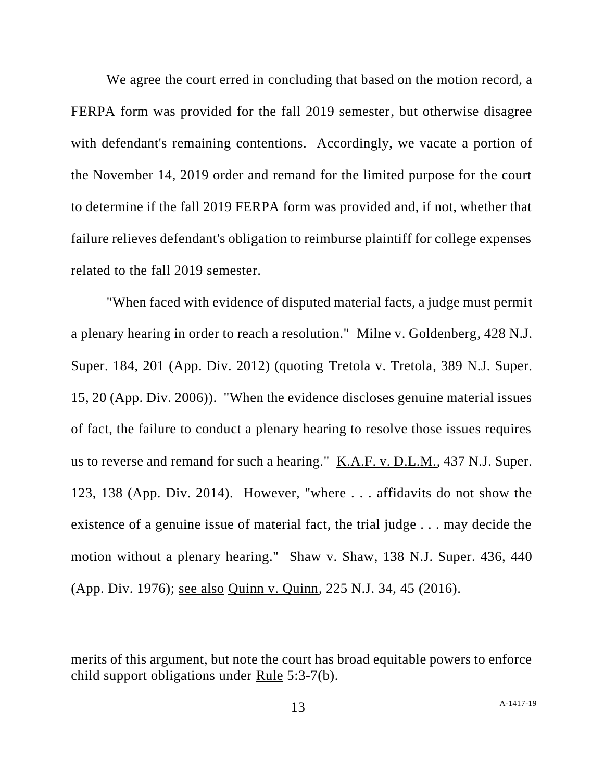We agree the court erred in concluding that based on the motion record, a FERPA form was provided for the fall 2019 semester, but otherwise disagree with defendant's remaining contentions. Accordingly, we vacate a portion of the November 14, 2019 order and remand for the limited purpose for the court to determine if the fall 2019 FERPA form was provided and, if not, whether that failure relieves defendant's obligation to reimburse plaintiff for college expenses related to the fall 2019 semester.

"When faced with evidence of disputed material facts, a judge must permit a plenary hearing in order to reach a resolution." Milne v. Goldenberg, 428 N.J. Super. 184, 201 (App. Div. 2012) (quoting Tretola v. Tretola, 389 N.J. Super. 15, 20 (App. Div. 2006)). "When the evidence discloses genuine material issues of fact, the failure to conduct a plenary hearing to resolve those issues requires us to reverse and remand for such a hearing." K.A.F. v. D.L.M., 437 N.J. Super. 123, 138 (App. Div. 2014). However, "where . . . affidavits do not show the existence of a genuine issue of material fact, the trial judge . . . may decide the motion without a plenary hearing." Shaw v. Shaw, 138 N.J. Super. 436, 440 (App. Div. 1976); see also Quinn v. Quinn, 225 N.J. 34, 45 (2016).

merits of this argument, but note the court has broad equitable powers to enforce child support obligations under Rule 5:3-7(b).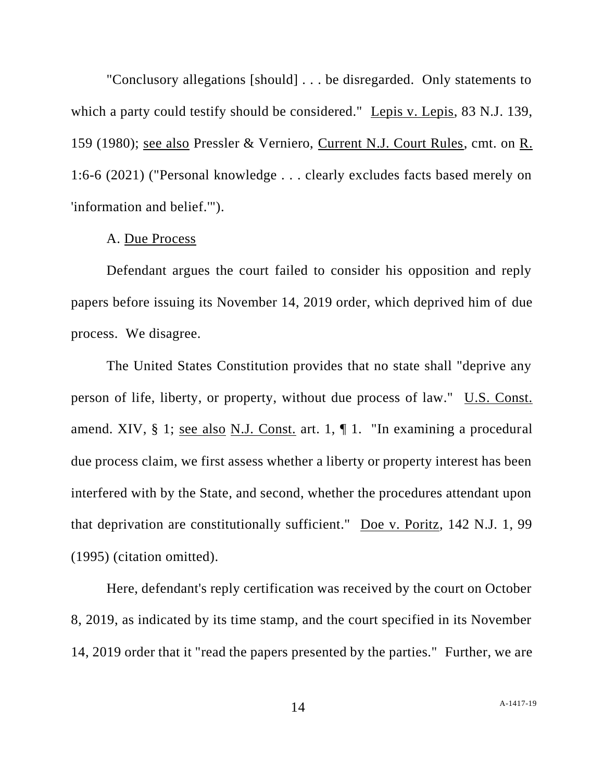"Conclusory allegations [should] . . . be disregarded. Only statements to which a party could testify should be considered." Lepis v. Lepis, 83 N.J. 139, 159 (1980); see also Pressler & Verniero, Current N.J. Court Rules, cmt. on R. 1:6-6 (2021) ("Personal knowledge . . . clearly excludes facts based merely on 'information and belief.'").

## A. Due Process

Defendant argues the court failed to consider his opposition and reply papers before issuing its November 14, 2019 order, which deprived him of due process. We disagree.

The United States Constitution provides that no state shall "deprive any person of life, liberty, or property, without due process of law." U.S. Const. amend. XIV, § 1; see also N.J. Const. art. 1, ¶ 1. "In examining a procedural due process claim, we first assess whether a liberty or property interest has been interfered with by the State, and second, whether the procedures attendant upon that deprivation are constitutionally sufficient." Doe v. Poritz, 142 N.J. 1, 99 (1995) (citation omitted).

Here, defendant's reply certification was received by the court on October 8, 2019, as indicated by its time stamp, and the court specified in its November 14, 2019 order that it "read the papers presented by the parties." Further, we are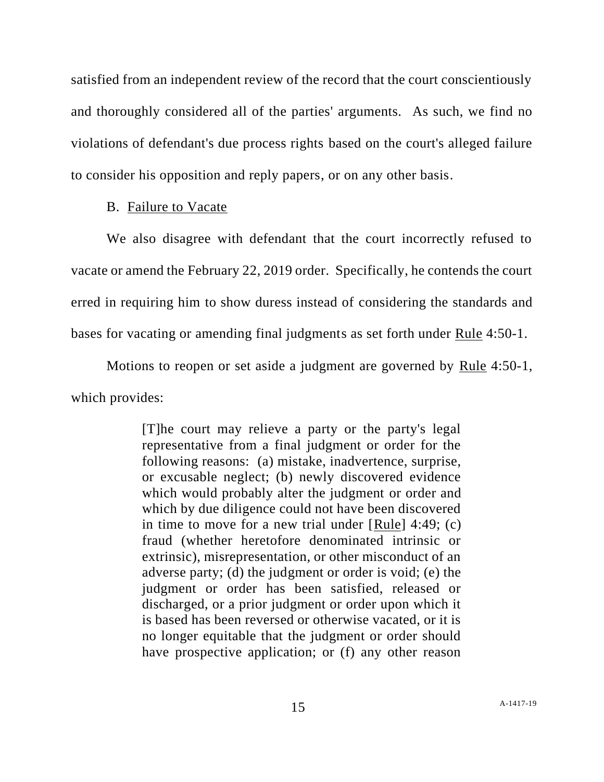satisfied from an independent review of the record that the court conscientiously and thoroughly considered all of the parties' arguments. As such, we find no violations of defendant's due process rights based on the court's alleged failure to consider his opposition and reply papers, or on any other basis.

#### B. Failure to Vacate

We also disagree with defendant that the court incorrectly refused to vacate or amend the February 22, 2019 order. Specifically, he contends the court erred in requiring him to show duress instead of considering the standards and bases for vacating or amending final judgments as set forth under Rule 4:50-1.

Motions to reopen or set aside a judgment are governed by Rule 4:50-1, which provides:

> [T]he court may relieve a party or the party's legal representative from a final judgment or order for the following reasons: (a) mistake, inadvertence, surprise, or excusable neglect; (b) newly discovered evidence which would probably alter the judgment or order and which by due diligence could not have been discovered in time to move for a new trial under [Rule] 4:49; (c) fraud (whether heretofore denominated intrinsic or extrinsic), misrepresentation, or other misconduct of an adverse party; (d) the judgment or order is void; (e) the judgment or order has been satisfied, released or discharged, or a prior judgment or order upon which it is based has been reversed or otherwise vacated, or it is no longer equitable that the judgment or order should have prospective application; or (f) any other reason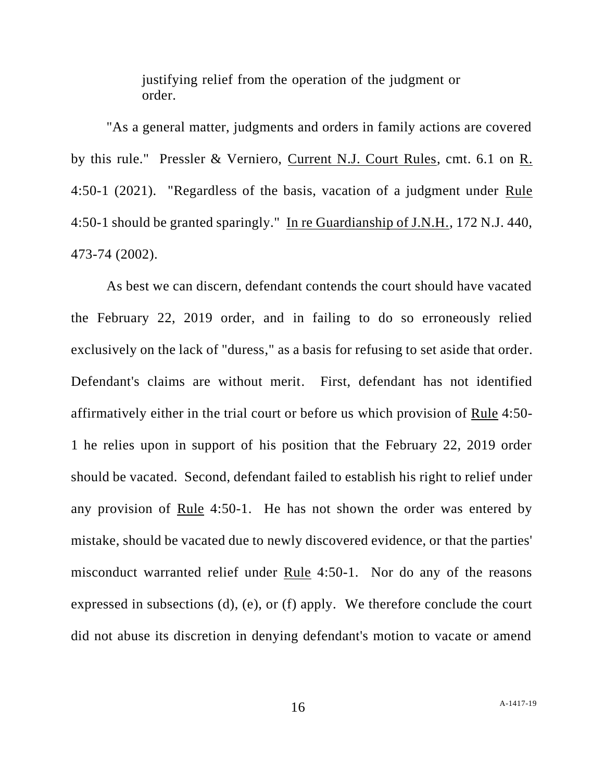justifying relief from the operation of the judgment or order.

"As a general matter, judgments and orders in family actions are covered by this rule." Pressler & Verniero, Current N.J. Court Rules, cmt. 6.1 on R. 4:50-1 (2021). "Regardless of the basis, vacation of a judgment under Rule 4:50-1 should be granted sparingly." In re Guardianship of J.N.H., 172 N.J. 440, 473-74 (2002).

As best we can discern, defendant contends the court should have vacated the February 22, 2019 order, and in failing to do so erroneously relied exclusively on the lack of "duress," as a basis for refusing to set aside that order. Defendant's claims are without merit. First, defendant has not identified affirmatively either in the trial court or before us which provision of Rule 4:50- 1 he relies upon in support of his position that the February 22, 2019 order should be vacated. Second, defendant failed to establish his right to relief under any provision of Rule 4:50-1. He has not shown the order was entered by mistake, should be vacated due to newly discovered evidence, or that the parties' misconduct warranted relief under Rule 4:50-1. Nor do any of the reasons expressed in subsections (d), (e), or (f) apply. We therefore conclude the court did not abuse its discretion in denying defendant's motion to vacate or amend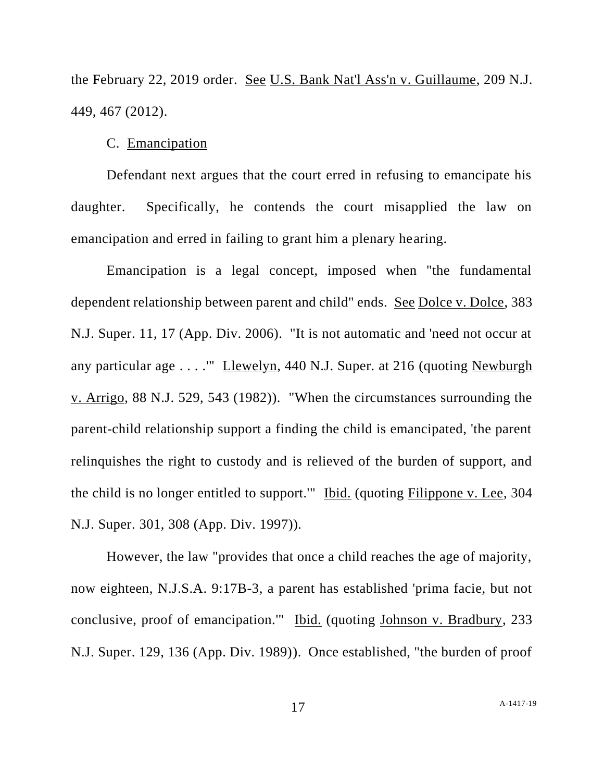the February 22, 2019 order. See U.S. Bank Nat'l Ass'n v. Guillaume, 209 N.J. 449, 467 (2012).

## C. Emancipation

Defendant next argues that the court erred in refusing to emancipate his daughter. Specifically, he contends the court misapplied the law on emancipation and erred in failing to grant him a plenary hearing.

Emancipation is a legal concept, imposed when "the fundamental dependent relationship between parent and child" ends. See Dolce v. Dolce, 383 N.J. Super. 11, 17 (App. Div. 2006). "It is not automatic and 'need not occur at any particular age . . . .'" Llewelyn, 440 N.J. Super. at 216 (quoting Newburgh v. Arrigo, 88 N.J. 529, 543 (1982)). "When the circumstances surrounding the parent-child relationship support a finding the child is emancipated, 'the parent relinquishes the right to custody and is relieved of the burden of support, and the child is no longer entitled to support.'" Ibid. (quoting Filippone v. Lee, 304 N.J. Super. 301, 308 (App. Div. 1997)).

However, the law "provides that once a child reaches the age of majority, now eighteen, N.J.S.A. 9:17B-3, a parent has established 'prima facie, but not conclusive, proof of emancipation.'" Ibid. (quoting Johnson v. Bradbury, 233 N.J. Super. 129, 136 (App. Div. 1989)). Once established, "the burden of proof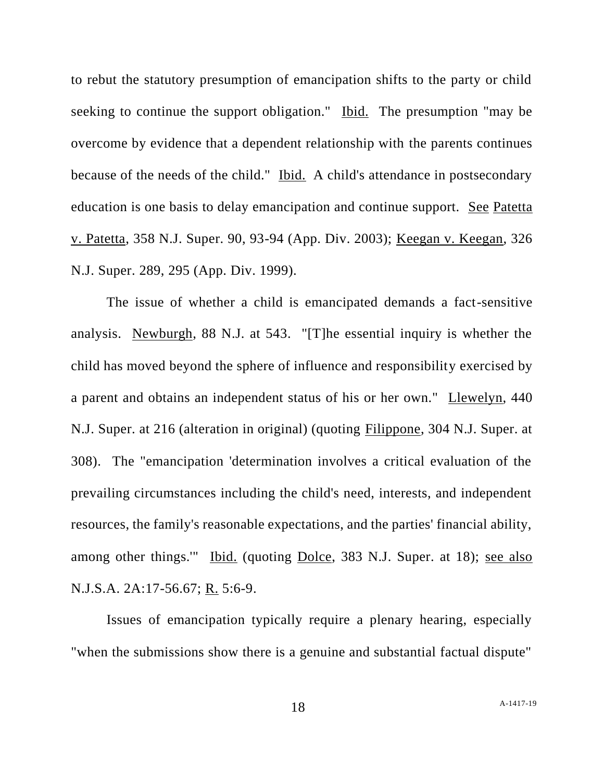to rebut the statutory presumption of emancipation shifts to the party or child seeking to continue the support obligation." Ibid. The presumption "may be overcome by evidence that a dependent relationship with the parents continues because of the needs of the child." Ibid. A child's attendance in postsecondary education is one basis to delay emancipation and continue support. See Patetta v. Patetta, 358 N.J. Super. 90, 93-94 (App. Div. 2003); Keegan v. Keegan, 326 N.J. Super. 289, 295 (App. Div. 1999).

The issue of whether a child is emancipated demands a fact-sensitive analysis. Newburgh, 88 N.J. at 543. "[T]he essential inquiry is whether the child has moved beyond the sphere of influence and responsibility exercised by a parent and obtains an independent status of his or her own." Llewelyn, 440 N.J. Super. at 216 (alteration in original) (quoting Filippone, 304 N.J. Super. at 308). The "emancipation 'determination involves a critical evaluation of the prevailing circumstances including the child's need, interests, and independent resources, the family's reasonable expectations, and the parties' financial ability, among other things." Ibid. (quoting Dolce, 383 N.J. Super. at 18); see also N.J.S.A. 2A:17-56.67; R. 5:6-9.

Issues of emancipation typically require a plenary hearing, especially "when the submissions show there is a genuine and substantial factual dispute"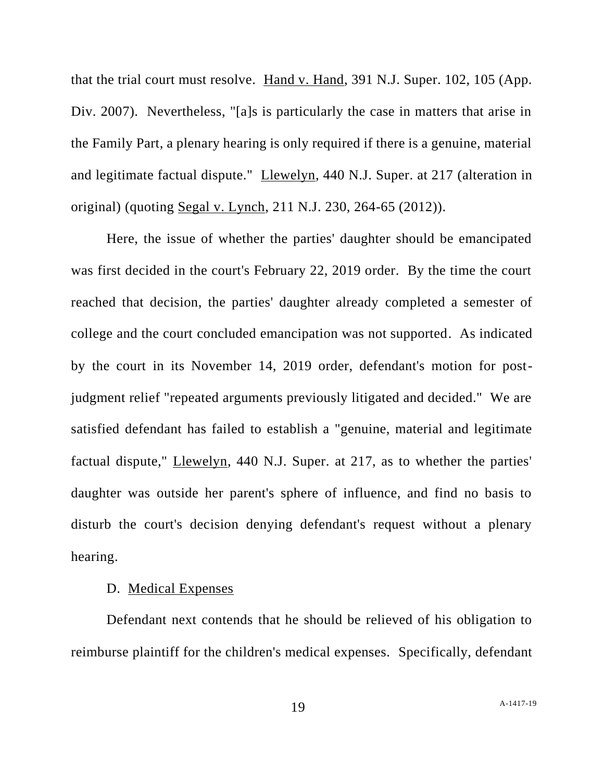that the trial court must resolve. Hand v. Hand, 391 N.J. Super. 102, 105 (App. Div. 2007). Nevertheless, "[a]s is particularly the case in matters that arise in the Family Part, a plenary hearing is only required if there is a genuine, material and legitimate factual dispute." Llewelyn, 440 N.J. Super. at 217 (alteration in original) (quoting Segal v. Lynch, 211 N.J. 230, 264-65 (2012)).

Here, the issue of whether the parties' daughter should be emancipated was first decided in the court's February 22, 2019 order. By the time the court reached that decision, the parties' daughter already completed a semester of college and the court concluded emancipation was not supported. As indicated by the court in its November 14, 2019 order, defendant's motion for postjudgment relief "repeated arguments previously litigated and decided." We are satisfied defendant has failed to establish a "genuine, material and legitimate factual dispute," Llewelyn, 440 N.J. Super. at 217, as to whether the parties' daughter was outside her parent's sphere of influence, and find no basis to disturb the court's decision denying defendant's request without a plenary hearing.

## D. Medical Expenses

Defendant next contends that he should be relieved of his obligation to reimburse plaintiff for the children's medical expenses. Specifically, defendant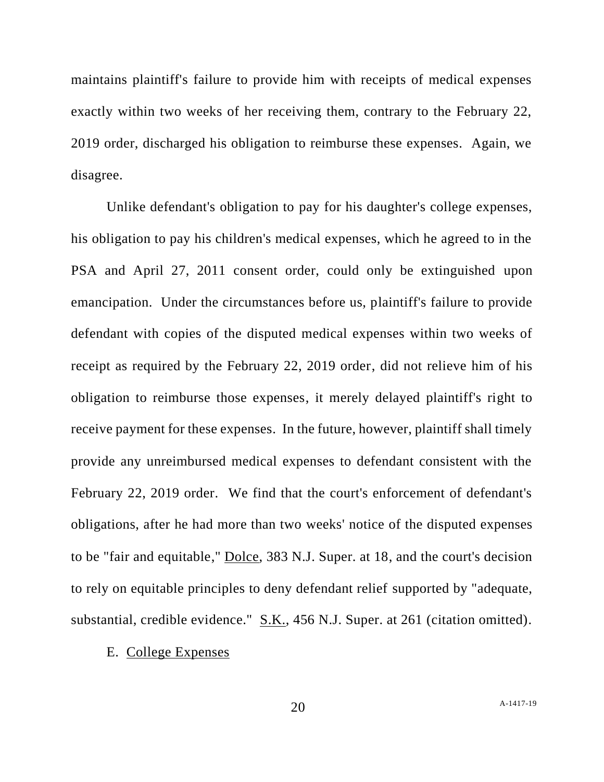maintains plaintiff's failure to provide him with receipts of medical expenses exactly within two weeks of her receiving them, contrary to the February 22, 2019 order, discharged his obligation to reimburse these expenses. Again, we disagree.

Unlike defendant's obligation to pay for his daughter's college expenses, his obligation to pay his children's medical expenses, which he agreed to in the PSA and April 27, 2011 consent order, could only be extinguished upon emancipation. Under the circumstances before us, plaintiff's failure to provide defendant with copies of the disputed medical expenses within two weeks of receipt as required by the February 22, 2019 order, did not relieve him of his obligation to reimburse those expenses, it merely delayed plaintiff's right to receive payment for these expenses. In the future, however, plaintiff shall timely provide any unreimbursed medical expenses to defendant consistent with the February 22, 2019 order. We find that the court's enforcement of defendant's obligations, after he had more than two weeks' notice of the disputed expenses to be "fair and equitable," Dolce, 383 N.J. Super. at 18, and the court's decision to rely on equitable principles to deny defendant relief supported by "adequate, substantial, credible evidence." S.K., 456 N.J. Super. at 261 (citation omitted).

# E. College Expenses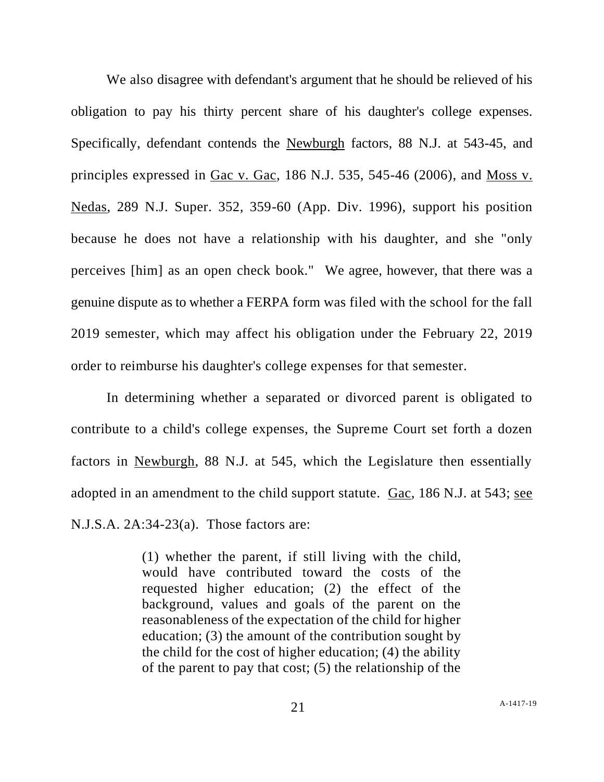We also disagree with defendant's argument that he should be relieved of his obligation to pay his thirty percent share of his daughter's college expenses. Specifically, defendant contends the Newburgh factors, 88 N.J. at 543-45, and principles expressed in Gac v. Gac, 186 N.J. 535, 545-46 (2006), and Moss v. Nedas, 289 N.J. Super. 352, 359-60 (App. Div. 1996), support his position because he does not have a relationship with his daughter, and she "only perceives [him] as an open check book." We agree, however, that there was a genuine dispute as to whether a FERPA form was filed with the school for the fall 2019 semester, which may affect his obligation under the February 22, 2019 order to reimburse his daughter's college expenses for that semester.

In determining whether a separated or divorced parent is obligated to contribute to a child's college expenses, the Supreme Court set forth a dozen factors in Newburgh, 88 N.J. at 545, which the Legislature then essentially adopted in an amendment to the child support statute.  $Gac$ , 186 N.J. at 543; see N.J.S.A. 2A:34-23(a). Those factors are:

> (1) whether the parent, if still living with the child, would have contributed toward the costs of the requested higher education; (2) the effect of the background, values and goals of the parent on the reasonableness of the expectation of the child for higher education; (3) the amount of the contribution sought by the child for the cost of higher education; (4) the ability of the parent to pay that cost; (5) the relationship of the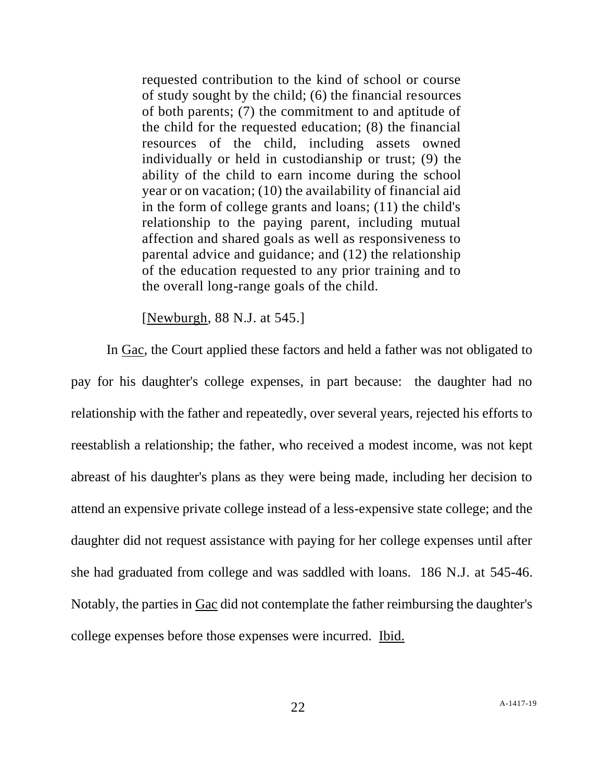requested contribution to the kind of school or course of study sought by the child; (6) the financial resources of both parents; (7) the commitment to and aptitude of the child for the requested education; (8) the financial resources of the child, including assets owned individually or held in custodianship or trust; (9) the ability of the child to earn income during the school year or on vacation; (10) the availability of financial aid in the form of college grants and loans; (11) the child's relationship to the paying parent, including mutual affection and shared goals as well as responsiveness to parental advice and guidance; and (12) the relationship of the education requested to any prior training and to the overall long-range goals of the child.

[Newburgh, 88 N.J. at 545.]

In Gac, the Court applied these factors and held a father was not obligated to pay for his daughter's college expenses, in part because: the daughter had no relationship with the father and repeatedly, over several years, rejected his efforts to reestablish a relationship; the father, who received a modest income, was not kept abreast of his daughter's plans as they were being made, including her decision to attend an expensive private college instead of a less-expensive state college; and the daughter did not request assistance with paying for her college expenses until after she had graduated from college and was saddled with loans. 186 N.J. at 545-46. Notably, the parties in Gac did not contemplate the father reimbursing the daughter's college expenses before those expenses were incurred. Ibid.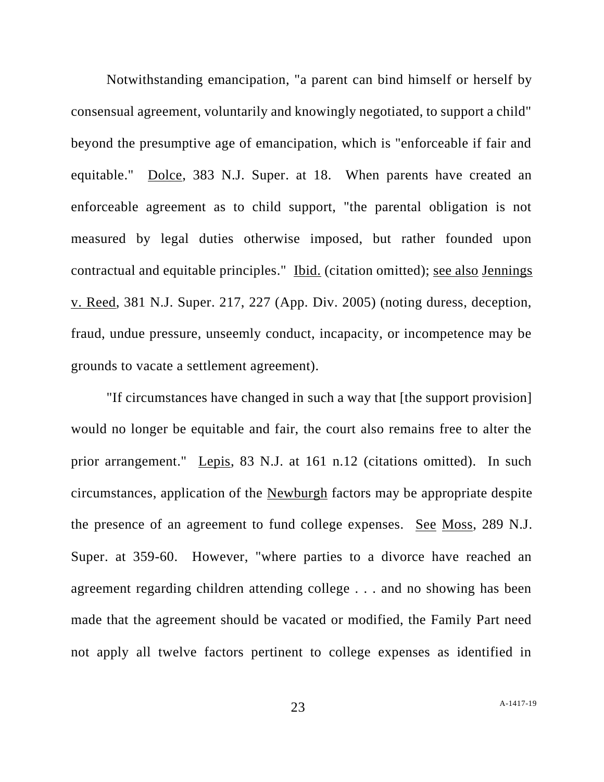Notwithstanding emancipation, "a parent can bind himself or herself by consensual agreement, voluntarily and knowingly negotiated, to support a child" beyond the presumptive age of emancipation, which is "enforceable if fair and equitable." Dolce, 383 N.J. Super. at 18. When parents have created an enforceable agreement as to child support, "the parental obligation is not measured by legal duties otherwise imposed, but rather founded upon contractual and equitable principles." Ibid. (citation omitted); see also Jennings v. Reed, 381 N.J. Super. 217, 227 (App. Div. 2005) (noting duress, deception, fraud, undue pressure, unseemly conduct, incapacity, or incompetence may be grounds to vacate a settlement agreement).

"If circumstances have changed in such a way that [the support provision] would no longer be equitable and fair, the court also remains free to alter the prior arrangement." Lepis, 83 N.J. at 161 n.12 (citations omitted). In such circumstances, application of the Newburgh factors may be appropriate despite the presence of an agreement to fund college expenses. See Moss, 289 N.J. Super. at 359-60. However, "where parties to a divorce have reached an agreement regarding children attending college . . . and no showing has been made that the agreement should be vacated or modified, the Family Part need not apply all twelve factors pertinent to college expenses as identified in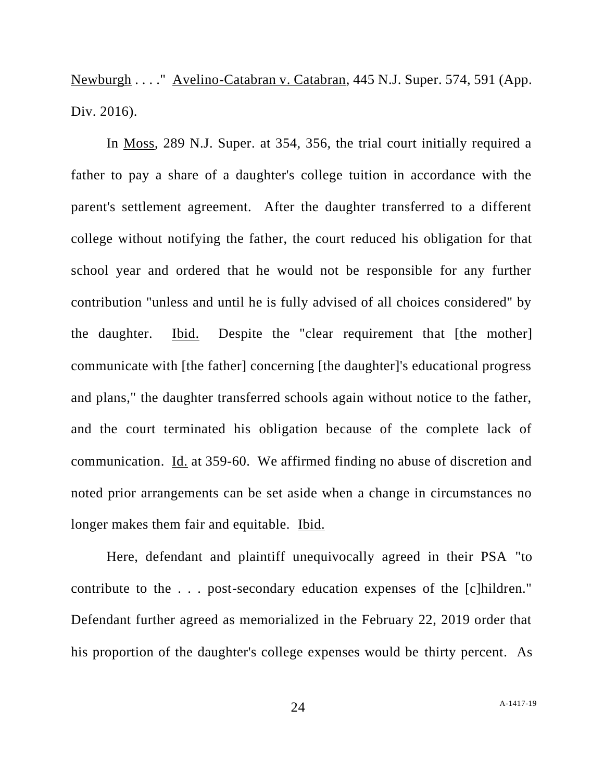Newburgh . . . ." Avelino-Catabran v. Catabran, 445 N.J. Super. 574, 591 (App. Div. 2016).

In Moss, 289 N.J. Super. at 354, 356, the trial court initially required a father to pay a share of a daughter's college tuition in accordance with the parent's settlement agreement. After the daughter transferred to a different college without notifying the father, the court reduced his obligation for that school year and ordered that he would not be responsible for any further contribution "unless and until he is fully advised of all choices considered" by the daughter. Ibid. Despite the "clear requirement that [the mother] communicate with [the father] concerning [the daughter]'s educational progress and plans," the daughter transferred schools again without notice to the father, and the court terminated his obligation because of the complete lack of communication. Id. at 359-60. We affirmed finding no abuse of discretion and noted prior arrangements can be set aside when a change in circumstances no longer makes them fair and equitable. Ibid.

Here, defendant and plaintiff unequivocally agreed in their PSA "to contribute to the . . . post-secondary education expenses of the [c]hildren." Defendant further agreed as memorialized in the February 22, 2019 order that his proportion of the daughter's college expenses would be thirty percent. As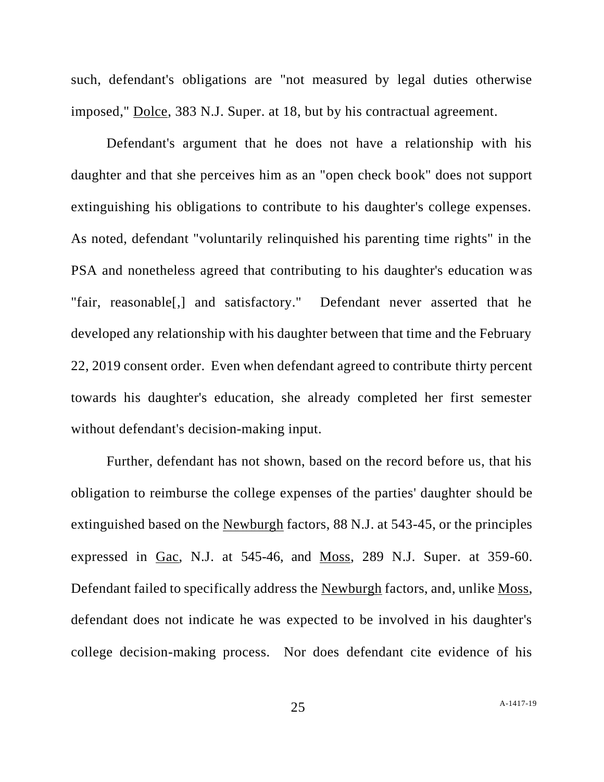such, defendant's obligations are "not measured by legal duties otherwise imposed," Dolce, 383 N.J. Super. at 18, but by his contractual agreement.

Defendant's argument that he does not have a relationship with his daughter and that she perceives him as an "open check book" does not support extinguishing his obligations to contribute to his daughter's college expenses. As noted, defendant "voluntarily relinquished his parenting time rights" in the PSA and nonetheless agreed that contributing to his daughter's education was "fair, reasonable[,] and satisfactory." Defendant never asserted that he developed any relationship with his daughter between that time and the February 22, 2019 consent order. Even when defendant agreed to contribute thirty percent towards his daughter's education, she already completed her first semester without defendant's decision-making input.

Further, defendant has not shown, based on the record before us, that his obligation to reimburse the college expenses of the parties' daughter should be extinguished based on the Newburgh factors, 88 N.J. at 543-45, or the principles expressed in Gac, N.J. at 545-46, and Moss, 289 N.J. Super. at 359-60. Defendant failed to specifically address the Newburgh factors, and, unlike Moss, defendant does not indicate he was expected to be involved in his daughter's college decision-making process. Nor does defendant cite evidence of his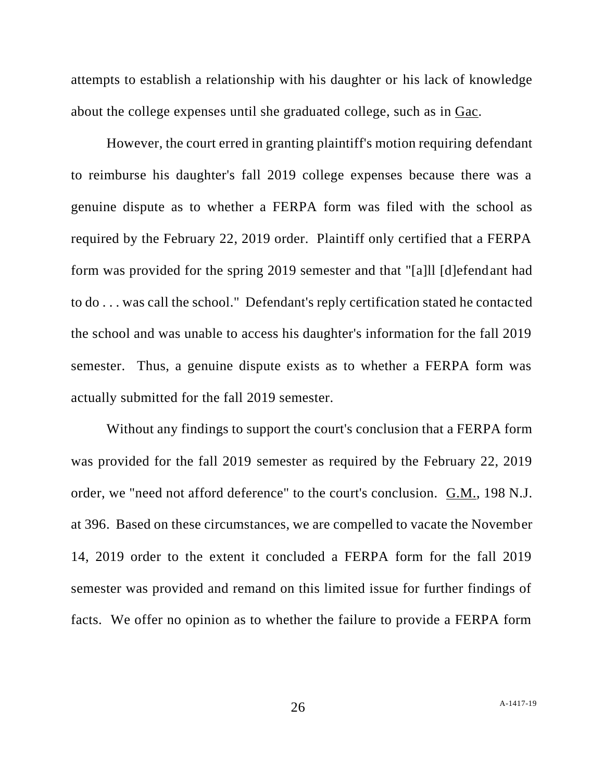attempts to establish a relationship with his daughter or his lack of knowledge about the college expenses until she graduated college, such as in Gac.

However, the court erred in granting plaintiff's motion requiring defendant to reimburse his daughter's fall 2019 college expenses because there was a genuine dispute as to whether a FERPA form was filed with the school as required by the February 22, 2019 order. Plaintiff only certified that a FERPA form was provided for the spring 2019 semester and that "[a]ll [d]efendant had to do . . . was call the school." Defendant's reply certification stated he contacted the school and was unable to access his daughter's information for the fall 2019 semester. Thus, a genuine dispute exists as to whether a FERPA form was actually submitted for the fall 2019 semester.

Without any findings to support the court's conclusion that a FERPA form was provided for the fall 2019 semester as required by the February 22, 2019 order, we "need not afford deference" to the court's conclusion. G.M., 198 N.J. at 396. Based on these circumstances, we are compelled to vacate the November 14, 2019 order to the extent it concluded a FERPA form for the fall 2019 semester was provided and remand on this limited issue for further findings of facts. We offer no opinion as to whether the failure to provide a FERPA form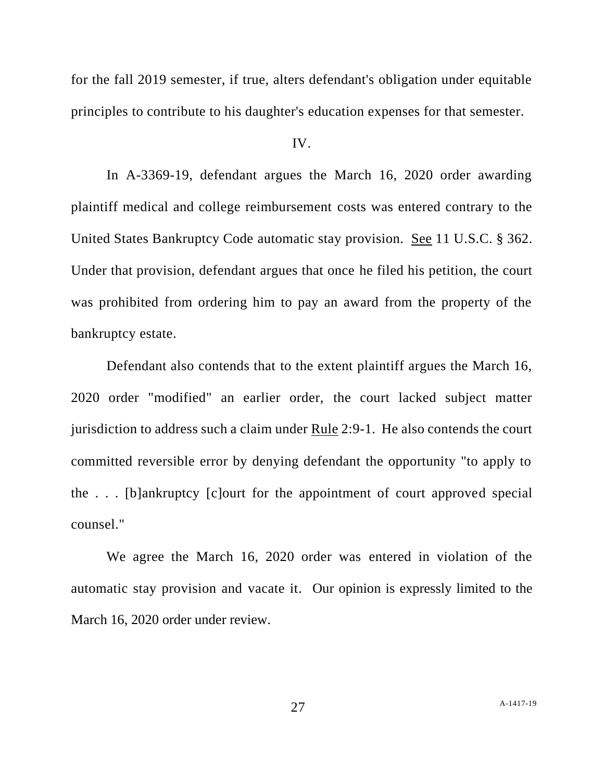for the fall 2019 semester, if true, alters defendant's obligation under equitable principles to contribute to his daughter's education expenses for that semester.

## IV.

In A-3369-19, defendant argues the March 16, 2020 order awarding plaintiff medical and college reimbursement costs was entered contrary to the United States Bankruptcy Code automatic stay provision. See 11 U.S.C. § 362. Under that provision, defendant argues that once he filed his petition, the court was prohibited from ordering him to pay an award from the property of the bankruptcy estate.

Defendant also contends that to the extent plaintiff argues the March 16, 2020 order "modified" an earlier order, the court lacked subject matter jurisdiction to address such a claim under Rule 2:9-1. He also contends the court committed reversible error by denying defendant the opportunity "to apply to the . . . [b]ankruptcy [c]ourt for the appointment of court approved special counsel."

We agree the March 16, 2020 order was entered in violation of the automatic stay provision and vacate it. Our opinion is expressly limited to the March 16, 2020 order under review.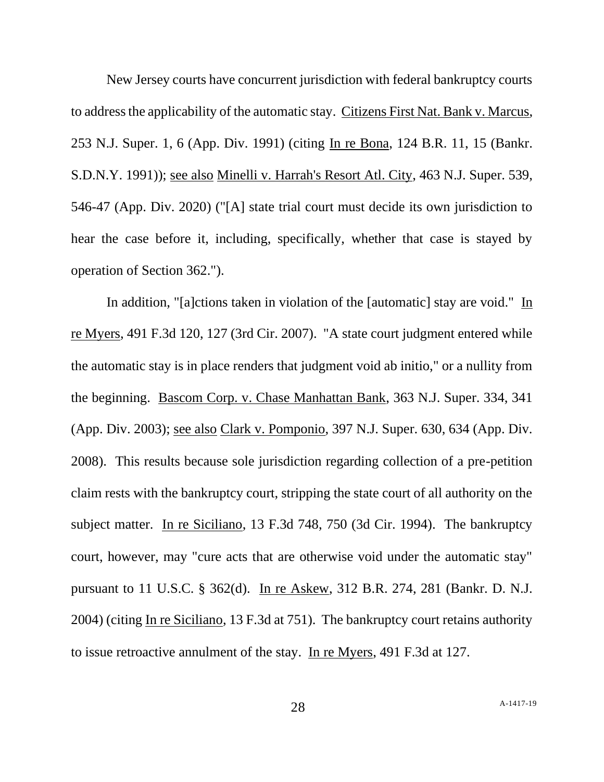New Jersey courts have concurrent jurisdiction with federal bankruptcy courts to address the applicability of the automatic stay. Citizens First Nat. Bank v. Marcus, 253 N.J. Super. 1, 6 (App. Div. 1991) (citing In re Bona, 124 B.R. 11, 15 (Bankr. S.D.N.Y. 1991)); see also Minelli v. Harrah's Resort Atl. City, 463 N.J. Super. 539, 546-47 (App. Div. 2020) ("[A] state trial court must decide its own jurisdiction to hear the case before it, including, specifically, whether that case is stayed by operation of Section 362.").

In addition, "[a]ctions taken in violation of the [automatic] stay are void." In re Myers, 491 F.3d 120, 127 (3rd Cir. 2007). "A state court judgment entered while the automatic stay is in place renders that judgment void ab initio," or a nullity from the beginning. Bascom Corp. v. Chase Manhattan Bank, 363 N.J. Super. 334, 341 (App. Div. 2003); see also Clark v. Pomponio, 397 N.J. Super. 630, 634 (App. Div. 2008). This results because sole jurisdiction regarding collection of a pre-petition claim rests with the bankruptcy court, stripping the state court of all authority on the subject matter. In re Siciliano, 13 F.3d 748, 750 (3d Cir. 1994). The bankruptcy court, however, may "cure acts that are otherwise void under the automatic stay" pursuant to 11 U.S.C. § 362(d). In re Askew, 312 B.R. 274, 281 (Bankr. D. N.J. 2004) (citing In re Siciliano, 13 F.3d at 751). The bankruptcy court retains authority to issue retroactive annulment of the stay. In re Myers, 491 F.3d at 127.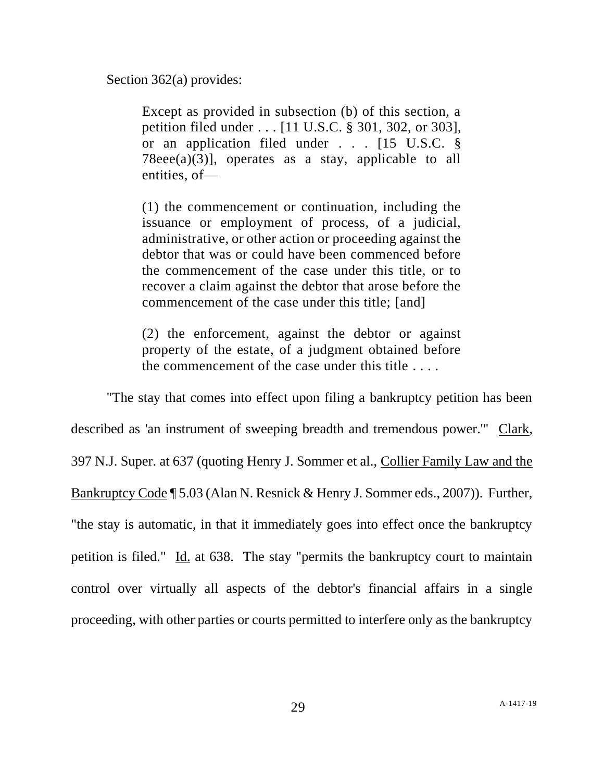Section 362(a) provides:

Except as provided in subsection (b) of this section, a petition filed under . . . [11 U.S.C. § 301, 302, or 303], or an application filed under . . . [15 U.S.C. §  $78eee(a)(3)$ ], operates as a stay, applicable to all entities, of—

(1) the commencement or continuation, including the issuance or employment of process, of a judicial, administrative, or other action or proceeding against the debtor that was or could have been commenced before the commencement of the case under this title, or to recover a claim against the debtor that arose before the commencement of the case under this title; [and]

(2) the enforcement, against the debtor or against property of the estate, of a judgment obtained before the commencement of the case under this title . . . .

"The stay that comes into effect upon filing a bankruptcy petition has been described as 'an instrument of sweeping breadth and tremendous power.'" Clark, 397 N.J. Super. at 637 (quoting Henry J. Sommer et al., Collier Family Law and the Bankruptcy Code ¶ 5.03 (Alan N. Resnick & Henry J. Sommer eds., 2007)). Further, "the stay is automatic, in that it immediately goes into effect once the bankruptcy petition is filed." Id. at 638. The stay "permits the bankruptcy court to maintain control over virtually all aspects of the debtor's financial affairs in a single proceeding, with other parties or courts permitted to interfere only as the bankruptcy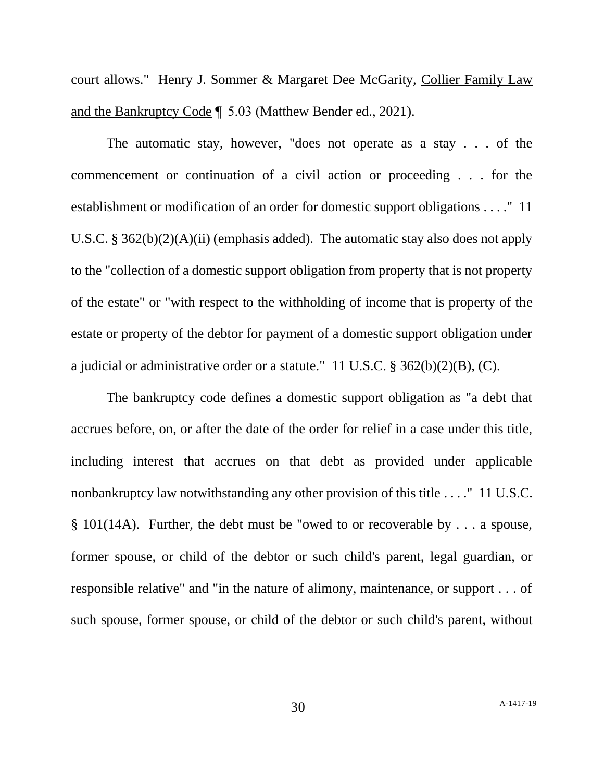court allows." Henry J. Sommer & Margaret Dee McGarity, Collier Family Law and the Bankruptcy Code ¶  5.03 (Matthew Bender ed., 2021).

The automatic stay, however, "does not operate as a stay . . . of the commencement or continuation of a civil action or proceeding . . . for the establishment or modification of an order for domestic support obligations . . . ." 11 U.S.C. § 362(b)(2)(A)(ii) (emphasis added). The automatic stay also does not apply to the "collection of a domestic support obligation from property that is not property of the estate" or "with respect to the withholding of income that is property of the estate or property of the debtor for payment of a domestic support obligation under a judicial or administrative order or a statute." 11 U.S.C. § 362(b)(2)(B), (C).

The bankruptcy code defines a domestic support obligation as "a debt that accrues before, on, or after the date of the order for relief in a case under this title, including interest that accrues on that debt as provided under applicable nonbankruptcy law notwithstanding any other provision of this title . . . ." 11 U.S.C. § 101(14A). Further, the debt must be "owed to or recoverable by . . . a spouse, former spouse, or child of the debtor or such child's parent, legal guardian, or responsible relative" and "in the nature of alimony, maintenance, or support . . . of such spouse, former spouse, or child of the debtor or such child's parent, without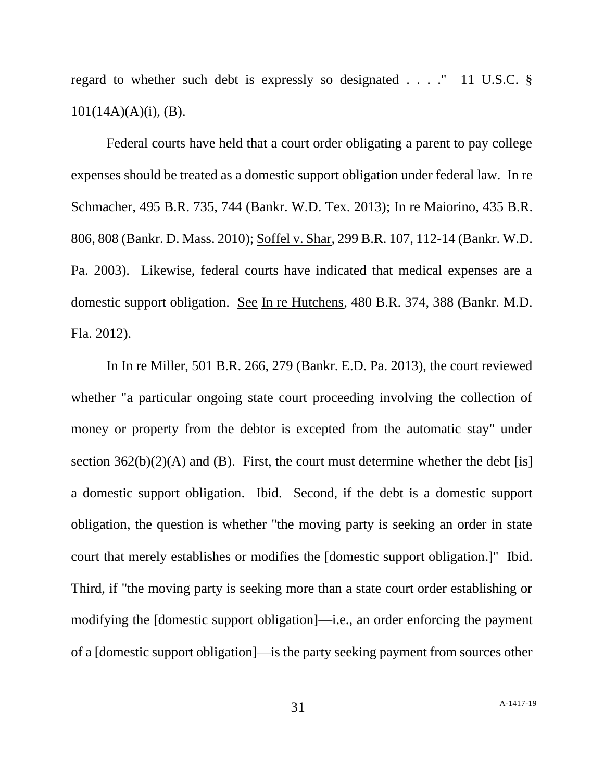regard to whether such debt is expressly so designated . . . ." 11 U.S.C. §  $101(14A)(A)(i)$ , (B).

Federal courts have held that a court order obligating a parent to pay college expenses should be treated as a domestic support obligation under federal law. In re Schmacher, 495 B.R. 735, 744 (Bankr. W.D. Tex. 2013); In re Maiorino, 435 B.R. 806, 808 (Bankr. D. Mass. 2010); Soffel v. Shar, 299 B.R. 107, 112-14 (Bankr. W.D. Pa. 2003). Likewise, federal courts have indicated that medical expenses are a domestic support obligation. See In re Hutchens, 480 B.R. 374, 388 (Bankr. M.D. Fla. 2012).

In In re Miller, 501 B.R. 266, 279 (Bankr. E.D. Pa. 2013), the court reviewed whether "a particular ongoing state court proceeding involving the collection of money or property from the debtor is excepted from the automatic stay" under section  $362(b)(2)(A)$  and (B). First, the court must determine whether the debt [is] a domestic support obligation. Ibid. Second, if the debt is a domestic support obligation, the question is whether "the moving party is seeking an order in state court that merely establishes or modifies the [domestic support obligation.]" Ibid. Third, if "the moving party is seeking more than a state court order establishing or modifying the [domestic support obligation]—i.e., an order enforcing the payment of a [domestic support obligation]—is the party seeking payment from sources other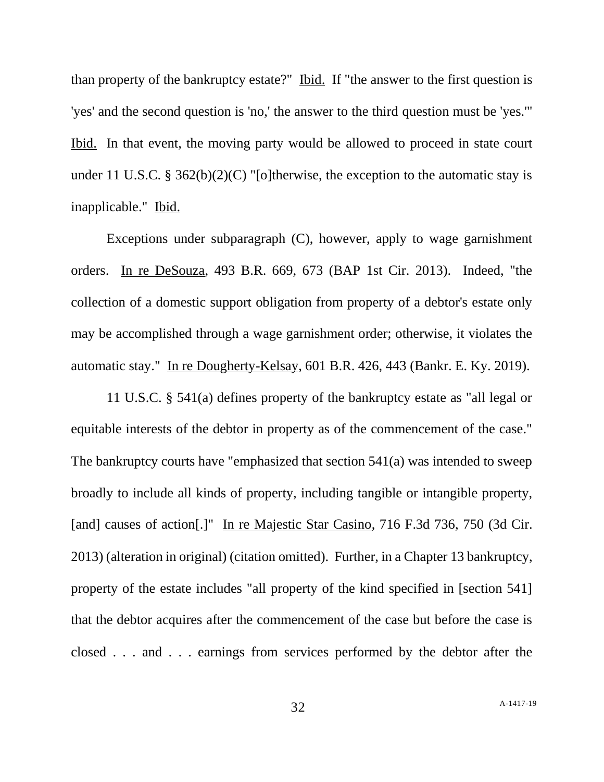than property of the bankruptcy estate?" Ibid. If "the answer to the first question is 'yes' and the second question is 'no,' the answer to the third question must be 'yes.'" Ibid. In that event, the moving party would be allowed to proceed in state court under 11 U.S.C. § 362(b)(2)(C) "[o]therwise, the exception to the automatic stay is inapplicable." Ibid.

Exceptions under subparagraph (C), however, apply to wage garnishment orders. In re DeSouza, 493 B.R. 669, 673 (BAP 1st Cir. 2013). Indeed, "the collection of a domestic support obligation from property of a debtor's estate only may be accomplished through a wage garnishment order; otherwise, it violates the automatic stay." In re Dougherty-Kelsay, 601 B.R. 426, 443 (Bankr. E. Ky. 2019).

11 U.S.C. § 541(a) defines property of the bankruptcy estate as "all legal or equitable interests of the debtor in property as of the commencement of the case." The bankruptcy courts have "emphasized that section 541(a) was intended to sweep broadly to include all kinds of property, including tangible or intangible property, [and] causes of action[.]" In re Majestic Star Casino, 716 F.3d 736, 750 (3d Cir. 2013) (alteration in original) (citation omitted). Further, in a Chapter 13 bankruptcy, property of the estate includes "all property of the kind specified in [section 541] that the debtor acquires after the commencement of the case but before the case is closed . . . and . . . earnings from services performed by the debtor after the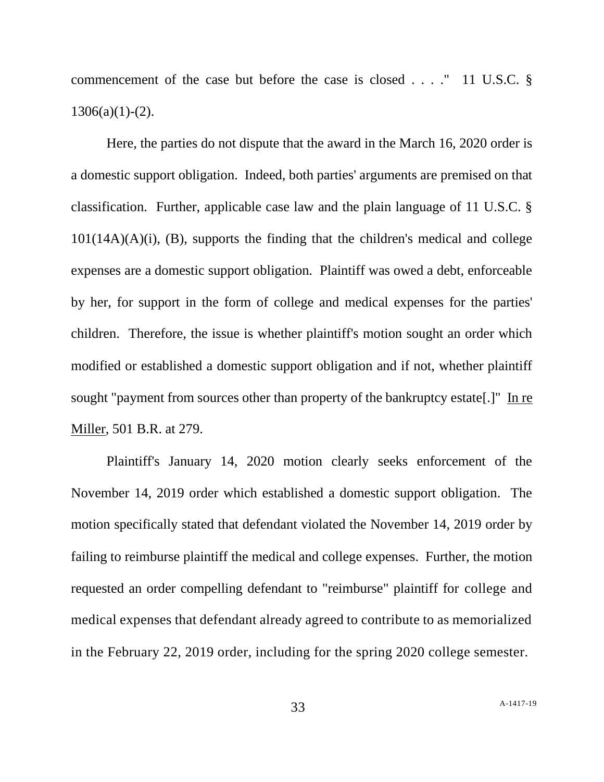commencement of the case but before the case is closed . . . ." 11 U.S.C. §  $1306(a)(1)-(2)$ .

Here, the parties do not dispute that the award in the March 16, 2020 order is a domestic support obligation. Indeed, both parties' arguments are premised on that classification. Further, applicable case law and the plain language of 11 U.S.C. §  $101(14A)(A)(i)$ , (B), supports the finding that the children's medical and college expenses are a domestic support obligation. Plaintiff was owed a debt, enforceable by her, for support in the form of college and medical expenses for the parties' children. Therefore, the issue is whether plaintiff's motion sought an order which modified or established a domestic support obligation and if not, whether plaintiff sought "payment from sources other than property of the bankruptcy estate[.]" In re Miller, 501 B.R. at 279.

Plaintiff's January 14, 2020 motion clearly seeks enforcement of the November 14, 2019 order which established a domestic support obligation. The motion specifically stated that defendant violated the November 14, 2019 order by failing to reimburse plaintiff the medical and college expenses. Further, the motion requested an order compelling defendant to "reimburse" plaintiff for college and medical expenses that defendant already agreed to contribute to as memorialized in the February 22, 2019 order, including for the spring 2020 college semester.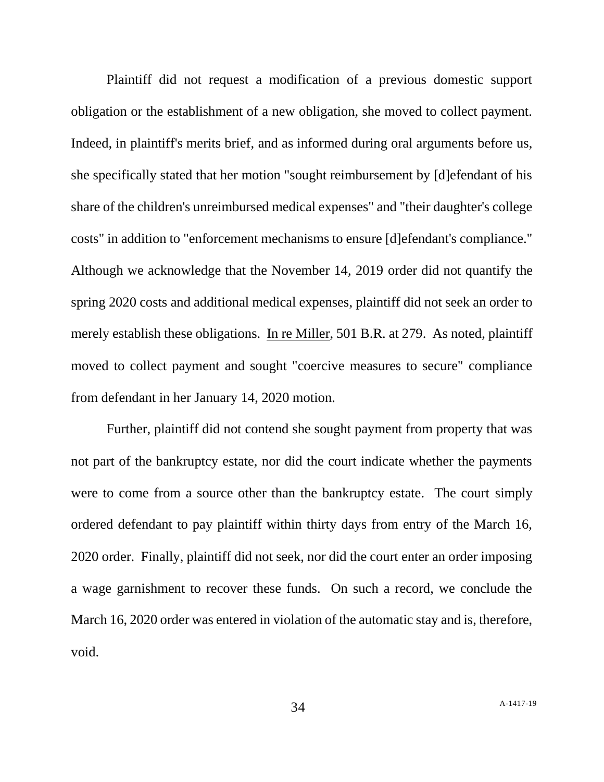Plaintiff did not request a modification of a previous domestic support obligation or the establishment of a new obligation, she moved to collect payment. Indeed, in plaintiff's merits brief, and as informed during oral arguments before us, she specifically stated that her motion "sought reimbursement by [d]efendant of his share of the children's unreimbursed medical expenses" and "their daughter's college costs" in addition to "enforcement mechanisms to ensure [d]efendant's compliance." Although we acknowledge that the November 14, 2019 order did not quantify the spring 2020 costs and additional medical expenses, plaintiff did not seek an order to merely establish these obligations. In re Miller, 501 B.R. at 279. As noted, plaintiff moved to collect payment and sought "coercive measures to secure" compliance from defendant in her January 14, 2020 motion.

Further, plaintiff did not contend she sought payment from property that was not part of the bankruptcy estate, nor did the court indicate whether the payments were to come from a source other than the bankruptcy estate. The court simply ordered defendant to pay plaintiff within thirty days from entry of the March 16, 2020 order. Finally, plaintiff did not seek, nor did the court enter an order imposing a wage garnishment to recover these funds. On such a record, we conclude the March 16, 2020 order was entered in violation of the automatic stay and is, therefore, void.